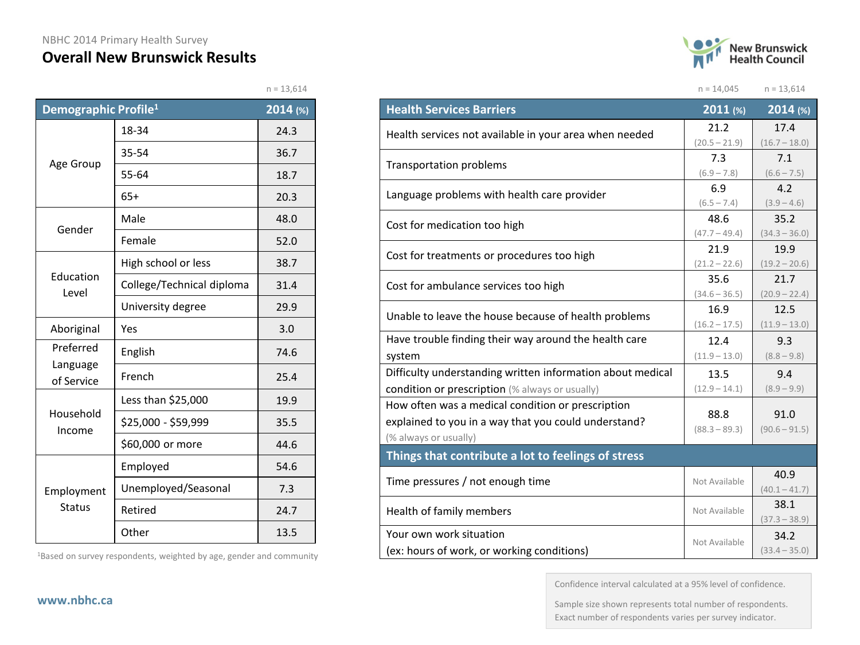#### NBHC 2014 Primary Health Survey

#### **Overall New Brunswick Results**

| <b>New Brunswick</b><br><b>Health Council</b> |
|-----------------------------------------------|
|                                               |

 $n = 14,045$   $n = 13,614$ 

 $n = 13,614$ 

| Demographic Profile <sup>1</sup> |                           | 2014 (%) |
|----------------------------------|---------------------------|----------|
|                                  | 18-34                     | 24.3     |
|                                  | 35-54                     | 36.7     |
| Age Group                        | 55-64                     | 18.7     |
|                                  | $65+$                     | 20.3     |
| Gender                           | Male                      | 48.0     |
|                                  | Female                    | 52.0     |
|                                  | High school or less       | 38.7     |
| Education<br>Level               | College/Technical diploma | 31.4     |
|                                  | University degree         | 29.9     |
| Aboriginal                       | Yes                       | 3.0      |
| Preferred<br>Language            | English                   | 74.6     |
| of Service                       | French                    | 25.4     |
|                                  | Less than \$25,000        | 19.9     |
| Household<br>Income              | \$25,000 - \$59,999       | 35.5     |
|                                  | \$60,000 or more          | 44.6     |
|                                  | Employed                  | 54.6     |
| Employment                       | Unemployed/Seasonal       | 7.3      |
| <b>Status</b>                    | Retired                   | 24.7     |
|                                  | Other                     | 13.5     |

1Based on survey respondents, weighted by age, gender and community

| <b>Health Services Barriers</b>                            | 2011 (%)        | 2014 (%)                |
|------------------------------------------------------------|-----------------|-------------------------|
|                                                            | 21.2            | 17.4                    |
| Health services not available in your area when needed     | $(20.5 - 21.9)$ | $(16.7 - 18.0)$         |
| Transportation problems                                    | 7.3             | 7.1                     |
|                                                            | $(6.9 - 7.8)$   | $(6.6 - 7.5)$           |
| Language problems with health care provider                | 6.9             | 4.2                     |
|                                                            | $(6.5 - 7.4)$   | $(3.9 - 4.6)$           |
| Cost for medication too high                               | 48.6            | 35.2                    |
|                                                            | $(47.7 - 49.4)$ | $(34.3 - 36.0)$         |
| Cost for treatments or procedures too high                 | 21.9            | 19.9                    |
|                                                            | $(21.2 - 22.6)$ | $(19.2 - 20.6)$         |
| Cost for ambulance services too high                       | 35.6            | 21.7                    |
|                                                            | $(34.6 - 36.5)$ | $(20.9 - 22.4)$         |
| Unable to leave the house because of health problems       | 16.9            | 12.5                    |
|                                                            | $(16.2 - 17.5)$ | $(11.9 - 13.0)$         |
| Have trouble finding their way around the health care      | 12.4            | 9.3                     |
| system                                                     | $(11.9 - 13.0)$ | $(8.8 - 9.8)$           |
| Difficulty understanding written information about medical | 13.5            | 9.4                     |
| condition or prescription (% always or usually)            | $(12.9 - 14.1)$ | $(8.9 - 9.9)$           |
| How often was a medical condition or prescription          |                 |                         |
| explained to you in a way that you could understand?       | 88.8            | 91.0                    |
| (% always or usually)                                      | $(88.3 - 89.3)$ | $(90.6 - 91.5)$         |
| Things that contribute a lot to feelings of stress         |                 |                         |
| Time pressures / not enough time                           | Not Available   | 40.9<br>$(40.1 - 41.7)$ |
| Health of family members                                   | Not Available   | 38.1<br>$(37.3 - 38.9)$ |
| Your own work situation                                    |                 | 34.2                    |
| (ex: hours of work, or working conditions)                 | Not Available   | $(33.4 - 35.0)$         |

Confidence interval calculated at a 95% level of confidence.

Sample size shown represents total number of respondents. Exact number of respondents varies per survey indicator.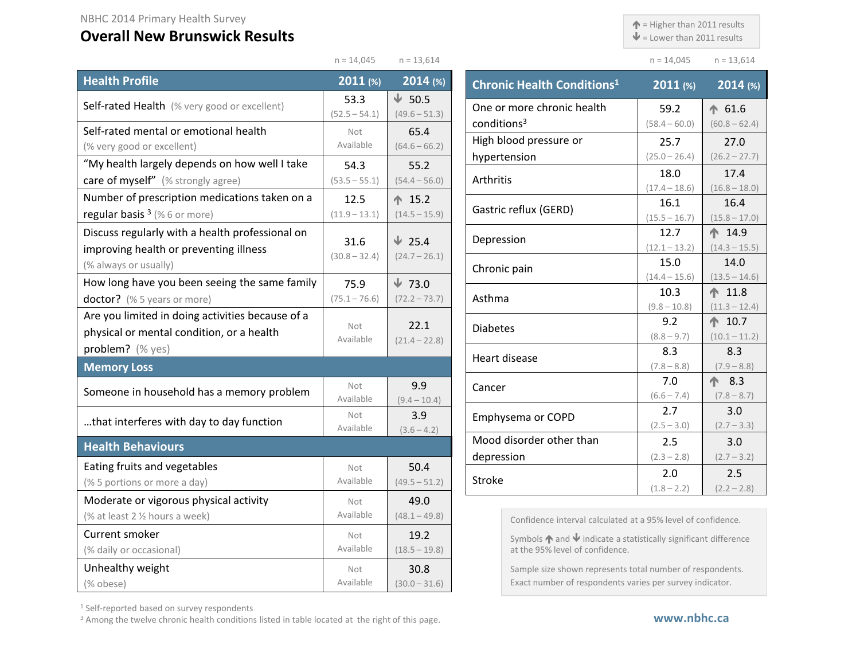$\triangle$  = Higher than 2011 results

 $n = 14,045$   $n = 13,614$ 

 $\blacklozenge$  = Lower than 2011 results

|                                                                                                                    | $n = 14,045$            | $n = 13,614$                     |                          |
|--------------------------------------------------------------------------------------------------------------------|-------------------------|----------------------------------|--------------------------|
| <b>Health Profile</b>                                                                                              | 2011 (%)                | $2014$ (%)                       | <b>Chronic H</b>         |
| Self-rated Health (% very good or excellent)                                                                       | 53.3<br>$(52.5 - 54.1)$ | $\sqrt{50.5}$<br>$(49.6 - 51.3)$ | One or mo                |
| Self-rated mental or emotional health<br>(% very good or excellent)                                                | Not<br>Available        | 65.4<br>$(64.6 - 66.2)$          | conditions<br>High blood |
| "My health largely depends on how well I take<br>care of myself" (% strongly agree)                                | 54.3<br>$(53.5 - 55.1)$ | 55.2<br>$(54.4 - 56.0)$          | hypertensi<br>Arthritis  |
| Number of prescription medications taken on a<br>regular basis $3$ (% 6 or more)                                   | 12.5<br>$(11.9 - 13.1)$ | ← 15.2<br>$(14.5 - 15.9)$        | Gastric ref              |
| Discuss regularly with a health professional on<br>improving health or preventing illness<br>(% always or usually) | 31.6<br>$(30.8 - 32.4)$ | $\sqrt{25.4}$<br>$(24.7 - 26.1)$ | Depressior               |
| How long have you been seeing the same family                                                                      | 75.9                    | $\sqrt{73.0}$                    | Chronic pa               |
| doctor? (% 5 years or more)                                                                                        | $(75.1 - 76.6)$         | $(72.2 - 73.7)$                  | Asthma                   |
| Are you limited in doing activities because of a<br>physical or mental condition, or a health<br>problem? (% yes)  | Not<br>Available        | 22.1<br>$(21.4 - 22.8)$          | <b>Diabetes</b>          |
| <b>Memory Loss</b>                                                                                                 |                         |                                  | Heart disea              |
| Someone in household has a memory problem                                                                          | Not<br>Available        | 9.9<br>$(9.4 - 10.4)$            | Cancer                   |
| that interferes with day to day function                                                                           | Not<br>Available        | 3.9<br>$(3.6 - 4.2)$             | Emphysem                 |
| <b>Health Behaviours</b>                                                                                           |                         |                                  | Mood diso<br>depressior  |
| Eating fruits and vegetables<br>(% 5 portions or more a day)                                                       | Not<br>Available        | 50.4<br>$(49.5 - 51.2)$          | <b>Stroke</b>            |
| Moderate or vigorous physical activity<br>(% at least 2 % hours a week)                                            | Not<br>Available        | 49.0<br>$(48.1 - 49.8)$          | Cor                      |
| Current smoker<br>(% daily or occasional)                                                                          | <b>Not</b><br>Available | 19.2<br>$(18.5 - 19.8)$          | Syn<br>at t              |
| Unhealthy weight<br>(% obese)                                                                                      | <b>Not</b><br>Available | 30.8<br>$(30.0 - 31.6)$          | San<br>Exa               |

| <b>Chronic Health Conditions<sup>1</sup></b> | $2011$ (%)      | 2014 (%)          |
|----------------------------------------------|-----------------|-------------------|
| One or more chronic health                   | 59.2            | $\spadesuit$ 61.6 |
| conditions <sup>3</sup>                      | $(58.4 - 60.0)$ | $(60.8 - 62.4)$   |
| High blood pressure or                       | 25.7            | 27.0              |
| hypertension                                 | $(25.0 - 26.4)$ | $(26.2 - 27.7)$   |
| Arthritis                                    | 18.0            | 17.4              |
|                                              | $(17.4 - 18.6)$ | $(16.8 - 18.0)$   |
| Gastric reflux (GERD)                        | 16.1            | 16.4              |
|                                              | $(15.5 - 16.7)$ | $(15.8 - 17.0)$   |
| Depression                                   | 12.7            | ↑ 14.9            |
|                                              | $(12.1 - 13.2)$ | $(14.3 - 15.5)$   |
| Chronic pain                                 | 15.0            | 14.0              |
|                                              | $(14.4 - 15.6)$ | $(13.5 - 14.6)$   |
| Asthma                                       | 10.3            | $\spadesuit$ 11.8 |
|                                              | $(9.8 - 10.8)$  | $(11.3 - 12.4)$   |
| <b>Diabetes</b>                              | 9.2             | $\spadesuit$ 10.7 |
|                                              | $(8.8 - 9.7)$   | $(10.1 - 11.2)$   |
| Heart disease                                | 8.3             | 8.3               |
|                                              | $(7.8 - 8.8)$   | $(7.9 - 8.8)$     |
| Cancer                                       | 7.0             | 个 8.3             |
|                                              | $(6.6 - 7.4)$   | $(7.8 - 8.7)$     |
| Emphysema or COPD                            | 2.7             | 3.0               |
|                                              | $(2.5 - 3.0)$   | $(2.7 - 3.3)$     |
| Mood disorder other than                     | 2.5             | 3.0               |
| depression                                   | $(2.3 - 2.8)$   | $(2.7 - 3.2)$     |
| Stroke                                       | 2.0             | 2.5               |
|                                              | $(1.8 - 2.2)$   | $(2.2 - 2.8)$     |

nfidence interval calculated at a 95% level of confidence.

mbols  $\bigwedge$  and  $\bigvee$  indicate a statistically significant difference the 95% level of confidence.

mple size shown represents total number of respondents. act number of respondents varies per survey indicator.

<sup>1</sup> Self-reported based on survey respondents

<sup>3</sup> Among the twelve chronic health conditions listed in table located at the right of this page.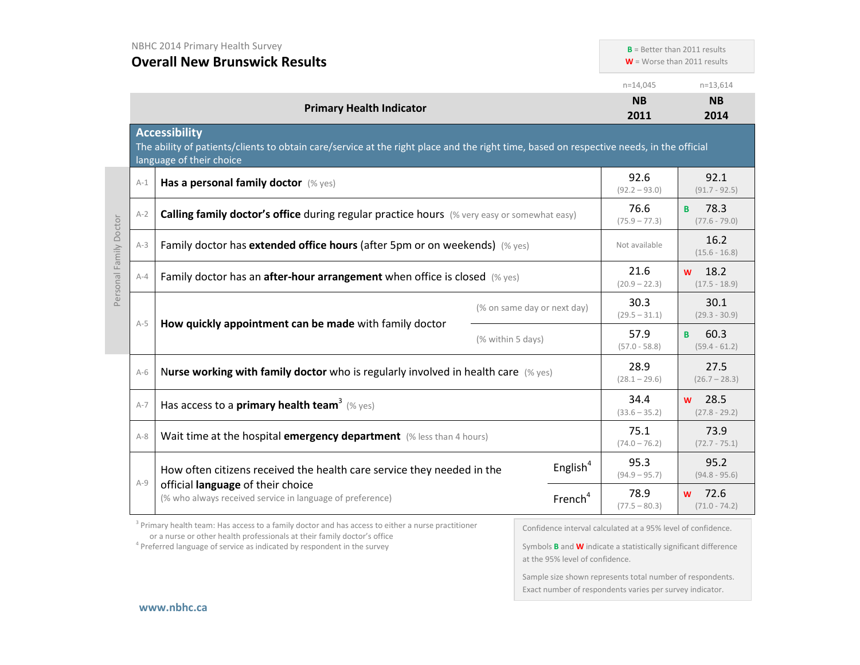**B** = Better than 2011 results

**W** = Worse than 2011 results

|                        |                                                                                     |                                                                                                                                                                                              |                             | $n=14,045$              | $n=13,614$                   |
|------------------------|-------------------------------------------------------------------------------------|----------------------------------------------------------------------------------------------------------------------------------------------------------------------------------------------|-----------------------------|-------------------------|------------------------------|
|                        |                                                                                     | <b>Primary Health Indicator</b>                                                                                                                                                              |                             | <b>NB</b><br>2011       | <b>NB</b><br>2014            |
|                        |                                                                                     | <b>Accessibility</b><br>The ability of patients/clients to obtain care/service at the right place and the right time, based on respective needs, in the official<br>language of their choice |                             |                         |                              |
|                        | $A-1$                                                                               | Has a personal family doctor (% yes)                                                                                                                                                         |                             | 92.6<br>$(92.2 - 93.0)$ | 92.1<br>$(91.7 - 92.5)$      |
|                        | $A-2$                                                                               | Calling family doctor's office during regular practice hours (% very easy or somewhat easy)                                                                                                  |                             | 76.6<br>$(75.9 - 77.3)$ | 78.3<br>B<br>$(77.6 - 79.0)$ |
| Personal Family Doctor | Family doctor has extended office hours (after 5pm or on weekends) (% yes)<br>$A-3$ |                                                                                                                                                                                              | Not available               | 16.2<br>$(15.6 - 16.8)$ |                              |
|                        | $A-4$                                                                               | Family doctor has an <b>after-hour arrangement</b> when office is closed $(\%$ yes)                                                                                                          |                             | 21.6<br>$(20.9 - 22.3)$ | 18.2<br>W<br>$(17.5 - 18.9)$ |
|                        |                                                                                     | How quickly appointment can be made with family doctor                                                                                                                                       | (% on same day or next day) | 30.3<br>$(29.5 - 31.1)$ | 30.1<br>$(29.3 - 30.9)$      |
|                        | $A-5$                                                                               |                                                                                                                                                                                              | (% within 5 days)           | 57.9<br>$(57.0 - 58.8)$ | 60.3<br>B<br>$(59.4 - 61.2)$ |
|                        | $A-6$                                                                               | Nurse working with family doctor who is regularly involved in health care $(\%$ yes)                                                                                                         |                             | 28.9<br>$(28.1 - 29.6)$ | 27.5<br>$(26.7 - 28.3)$      |
|                        | $A-7$                                                                               | Has access to a primary health team <sup>3</sup> (% yes)                                                                                                                                     |                             | 34.4<br>$(33.6 - 35.2)$ | 28.5<br>W<br>$(27.8 - 29.2)$ |
|                        | $A - 8$                                                                             | Wait time at the hospital emergency department (% less than 4 hours)                                                                                                                         |                             | 75.1<br>$(74.0 - 76.2)$ | 73.9<br>$(72.7 - 75.1)$      |
|                        | $A-9$                                                                               | How often citizens received the health care service they needed in the                                                                                                                       | English <sup>4</sup>        | 95.3<br>$(94.9 - 95.7)$ | 95.2<br>$(94.8 - 95.6)$      |
|                        |                                                                                     | official language of their choice<br>(% who always received service in language of preference)                                                                                               | French <sup>4</sup>         | 78.9<br>$(77.5 - 80.3)$ | 72.6<br>W<br>$(71.0 - 74.2)$ |

<sup>3</sup> Primary health team: Has access to a family doctor and has access to either a nurse practitioner or a nurse or other health professionals at their family doctor's office

<sup>4</sup> Preferred language of service as indicated by respondent in the survey

Confidence interval calculated at a 95% level of confidence.

Symbols **B** and **W** indicate a statistically significant difference at the 95% level of confidence.

Sample size shown represents total number of respondents. Exact number of respondents varies per survey indicator.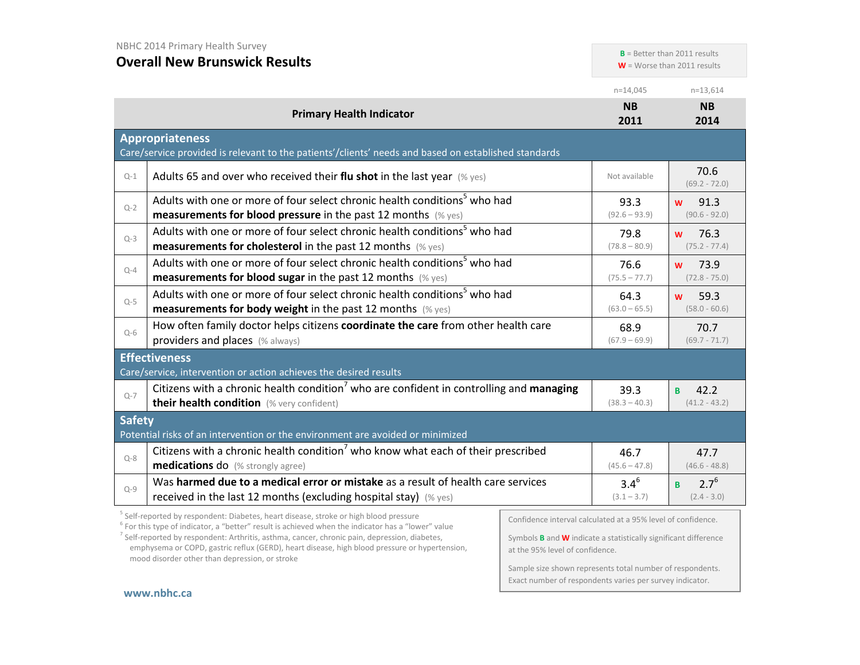**B** = Better than 2011 results

**W** = Worse than 2011 results

|                                                                                                 |                                                                                                                                                                                                          |                                                              | $n=14,045$                 | $n=13,614$                             |
|-------------------------------------------------------------------------------------------------|----------------------------------------------------------------------------------------------------------------------------------------------------------------------------------------------------------|--------------------------------------------------------------|----------------------------|----------------------------------------|
|                                                                                                 | <b>Primary Health Indicator</b>                                                                                                                                                                          |                                                              | <b>NB</b><br>2011          | <b>NB</b><br>2014                      |
|                                                                                                 | <b>Appropriateness</b><br>Care/service provided is relevant to the patients'/clients' needs and based on established standards                                                                           |                                                              |                            |                                        |
| $Q-1$                                                                                           | Adults 65 and over who received their flu shot in the last year $(\%$ yes)                                                                                                                               |                                                              | Not available              | 70.6<br>$(69.2 - 72.0)$                |
| $Q-2$                                                                                           | Adults with one or more of four select chronic health conditions <sup>5</sup> who had<br>measurements for blood pressure in the past 12 months (% yes)                                                   |                                                              | 93.3<br>$(92.6 - 93.9)$    | 91.3<br><b>W</b><br>$(90.6 - 92.0)$    |
| $Q-3$                                                                                           | Adults with one or more of four select chronic health conditions <sup>5</sup> who had<br><b>measurements for cholesterol</b> in the past 12 months (% yes)                                               |                                                              | 79.8<br>$(78.8 - 80.9)$    | 76.3<br>W<br>$(75.2 - 77.4)$           |
| $Q-4$                                                                                           | Adults with one or more of four select chronic health conditions <sup>5</sup> who had<br><b>measurements for blood sugar in the past 12 months</b> (% yes)                                               |                                                              | 76.6<br>$(75.5 - 77.7)$    | 73.9<br>W<br>$(72.8 - 75.0)$           |
| $Q-5$                                                                                           | Adults with one or more of four select chronic health conditions <sup>5</sup> who had<br><b>measurements for body weight</b> in the past 12 months $(\%$ yes)                                            |                                                              | 64.3<br>$(63.0 - 65.5)$    | 59.3<br><b>W</b><br>$(58.0 - 60.6)$    |
| $Q-6$                                                                                           | How often family doctor helps citizens coordinate the care from other health care<br>providers and places (% always)                                                                                     |                                                              | 68.9<br>$(67.9 - 69.9)$    | 70.7<br>$(69.7 - 71.7)$                |
|                                                                                                 | <b>Effectiveness</b><br>Care/service, intervention or action achieves the desired results                                                                                                                |                                                              |                            |                                        |
| $Q - 7$                                                                                         | Citizens with a chronic health condition <sup>7</sup> who are confident in controlling and managing<br>their health condition (% very confident)                                                         |                                                              | 39.3<br>$(38.3 - 40.3)$    | 42.2<br>B<br>$(41.2 - 43.2)$           |
| <b>Safety</b><br>Potential risks of an intervention or the environment are avoided or minimized |                                                                                                                                                                                                          |                                                              |                            |                                        |
| $Q - 8$                                                                                         | Citizens with a chronic health condition <sup>7</sup> who know what each of their prescribed<br>medications do (% strongly agree)                                                                        |                                                              | 46.7<br>$(45.6 - 47.8)$    | 47.7<br>$(46.6 - 48.8)$                |
| $Q-9$                                                                                           | Was harmed due to a medical error or mistake as a result of health care services<br>received in the last 12 months (excluding hospital stay) (% yes)                                                     |                                                              | $3.4^{6}$<br>$(3.1 - 3.7)$ | $2.7^{6}$<br><b>B</b><br>$(2.4 - 3.0)$ |
|                                                                                                 | <sup>5</sup> Self-reported by respondent: Diabetes, heart disease, stroke or high blood pressure<br>$6$ For this type of indicator, a "better" result is achieved when the indicator has a "lower" value | Confidence interval calculated at a 95% level of confidence. |                            |                                        |

Symbols **B** and **W** indicate a statistically significant difference at the 95% level of confidence.

Sample size shown represents total number of respondents. Exact number of respondents varies per survey indicator.

#### **[www.nbhc.ca](http://www.nbhc.ca/)**

mood disorder other than depression, or stroke

 $<sup>7</sup>$  Self-reported by respondent: Arthritis, asthma, cancer, chronic pain, depression, diabetes,</sup> emphysema or COPD, gastric reflux (GERD), heart disease, high blood pressure or hypertension,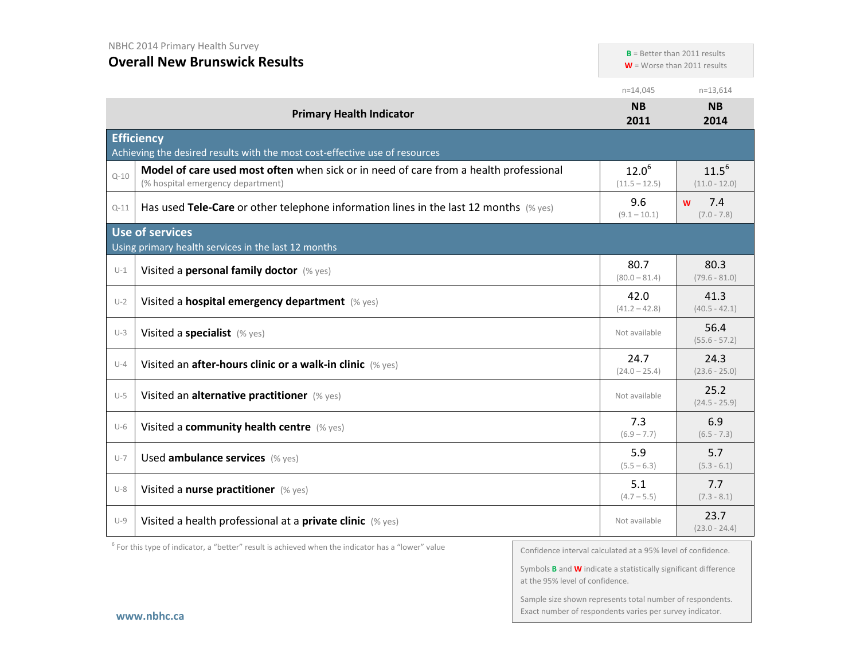**B** = Better than 2011 results

**W** = Worse than 2011 results

|          |                                                                                                                            | $n=14,045$                    | $n=13,614$                    |
|----------|----------------------------------------------------------------------------------------------------------------------------|-------------------------------|-------------------------------|
|          | <b>Primary Health Indicator</b>                                                                                            | <b>NB</b><br>2011             | <b>NB</b><br>2014             |
|          | <b>Efficiency</b>                                                                                                          |                               |                               |
|          | Achieving the desired results with the most cost-effective use of resources                                                |                               |                               |
| $Q - 10$ | Model of care used most often when sick or in need of care from a health professional<br>(% hospital emergency department) | $12.0^{6}$<br>$(11.5 - 12.5)$ | $11.5^{6}$<br>$(11.0 - 12.0)$ |
| $Q - 11$ | Has used Tele-Care or other telephone information lines in the last 12 months (% yes)                                      | 9.6<br>$(9.1 - 10.1)$         | 7.4<br>W<br>$(7.0 - 7.8)$     |
|          | <b>Use of services</b>                                                                                                     |                               |                               |
|          | Using primary health services in the last 12 months                                                                        |                               |                               |
| $U-1$    | Visited a personal family doctor (% yes)                                                                                   | 80.7<br>$(80.0 - 81.4)$       | 80.3<br>$(79.6 - 81.0)$       |
| $U-2$    | Visited a hospital emergency department (% yes)                                                                            | 42.0<br>$(41.2 - 42.8)$       | 41.3<br>$(40.5 - 42.1)$       |
| $U-3$    | Visited a specialist (% yes)                                                                                               | Not available                 | 56.4<br>$(55.6 - 57.2)$       |
| $U-4$    | Visited an after-hours clinic or a walk-in clinic (% yes)                                                                  | 24.7<br>$(24.0 - 25.4)$       | 24.3<br>$(23.6 - 25.0)$       |
| $U-5$    | Visited an alternative practitioner (% yes)                                                                                | Not available                 | 25.2<br>$(24.5 - 25.9)$       |
| $U-6$    | Visited a community health centre (% yes)                                                                                  | 7.3<br>$(6.9 - 7.7)$          | 6.9<br>$(6.5 - 7.3)$          |
| $U-7$    | Used ambulance services (% yes)                                                                                            | 5.9<br>$(5.5 - 6.3)$          | 5.7<br>$(5.3 - 6.1)$          |
| $U-8$    | Visited a nurse practitioner (% yes)                                                                                       | 5.1<br>$(4.7 - 5.5)$          | 7.7<br>$(7.3 - 8.1)$          |
| $U-9$    | Visited a health professional at a private clinic (% yes)                                                                  | Not available                 | 23.7<br>$(23.0 - 24.4)$       |

 $6$  For this type of indicator, a "better" result is achieved when the indicator has a "lower" value

Confidence interval calculated at a 95% level of confidence.

Symbols **B** and **W** indicate a statistically significant difference at the 95% level of confidence.

Sample size shown represents total number of respondents. Exact number of respondents varies per survey indicator.